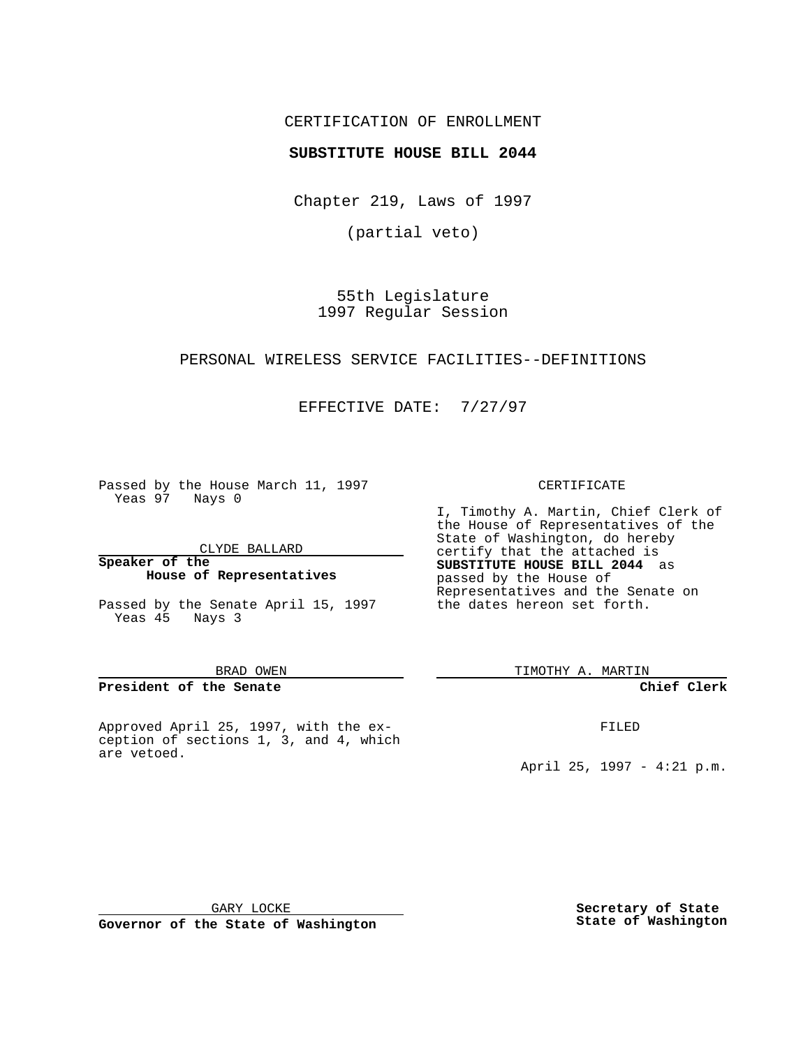## CERTIFICATION OF ENROLLMENT

## **SUBSTITUTE HOUSE BILL 2044**

Chapter 219, Laws of 1997

(partial veto)

55th Legislature 1997 Regular Session

### PERSONAL WIRELESS SERVICE FACILITIES--DEFINITIONS

## EFFECTIVE DATE: 7/27/97

Passed by the House March 11, 1997 Yeas 97 Nays 0

CLYDE BALLARD

**Speaker of the House of Representatives**

Passed by the Senate April 15, 1997 Yeas 45 Nays 3

#### BRAD OWEN

**President of the Senate**

Approved April 25, 1997, with the exception of sections 1, 3, and 4, which are vetoed.

### CERTIFICATE

I, Timothy A. Martin, Chief Clerk of the House of Representatives of the State of Washington, do hereby certify that the attached is **SUBSTITUTE HOUSE BILL 2044** as passed by the House of Representatives and the Senate on the dates hereon set forth.

TIMOTHY A. MARTIN

### **Chief Clerk**

FILED

April 25, 1997 - 4:21 p.m.

GARY LOCKE

**Governor of the State of Washington**

**Secretary of State State of Washington**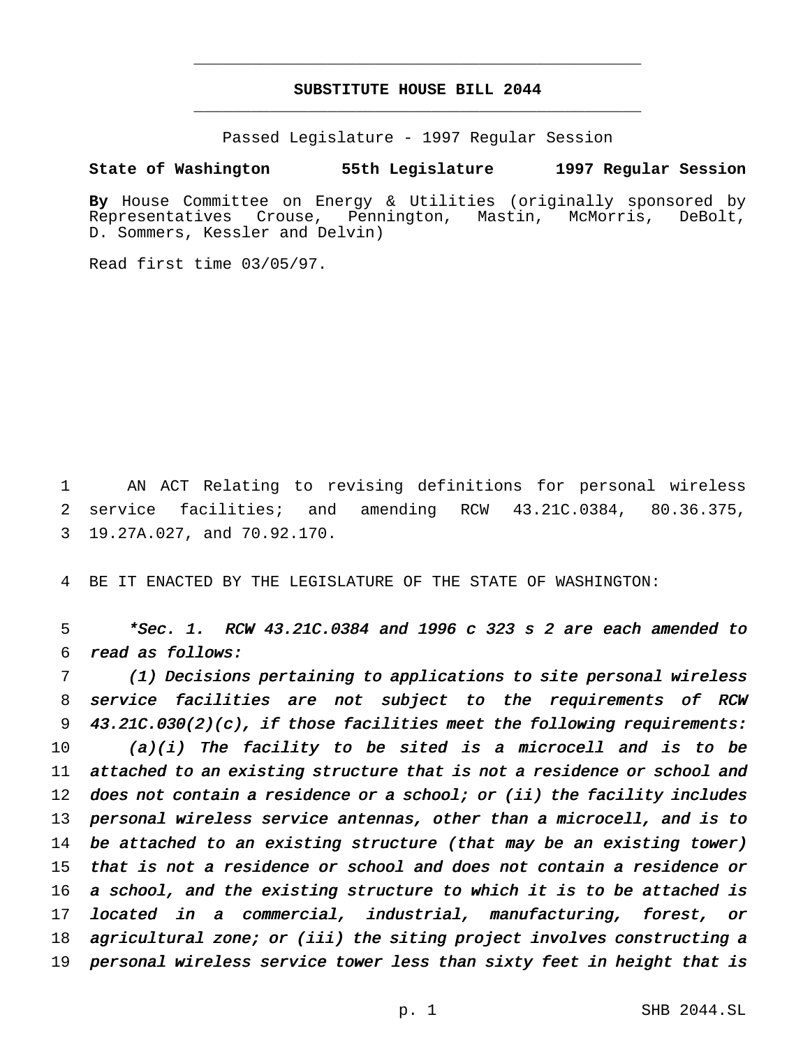# **SUBSTITUTE HOUSE BILL 2044** \_\_\_\_\_\_\_\_\_\_\_\_\_\_\_\_\_\_\_\_\_\_\_\_\_\_\_\_\_\_\_\_\_\_\_\_\_\_\_\_\_\_\_\_\_\_\_

\_\_\_\_\_\_\_\_\_\_\_\_\_\_\_\_\_\_\_\_\_\_\_\_\_\_\_\_\_\_\_\_\_\_\_\_\_\_\_\_\_\_\_\_\_\_\_

Passed Legislature - 1997 Regular Session

### **State of Washington 55th Legislature 1997 Regular Session**

**By** House Committee on Energy & Utilities (originally sponsored by Representatives Crouse, Pennington, Mastin, McMorris, DeBolt, D. Sommers, Kessler and Delvin)

Read first time 03/05/97.

1 AN ACT Relating to revising definitions for personal wireless 2 service facilities; and amending RCW 43.21C.0384, 80.36.375, 3 19.27A.027, and 70.92.170.

4 BE IT ENACTED BY THE LEGISLATURE OF THE STATE OF WASHINGTON:

5 \*Sec. 1. RCW 43.21C.0384 and <sup>1996</sup> <sup>c</sup> <sup>323</sup> <sup>s</sup> <sup>2</sup> are each amended to 6 read as follows:

 (1) Decisions pertaining to applications to site personal wireless service facilities are not subject to the requirements of RCW 43.21C.030(2)(c), if those facilities meet the following requirements: 10 (a)(i) The facility to be sited is a microcell and is to be attached to an existing structure that is not <sup>a</sup> residence or school and 12 does not contain a residence or a school; or (ii) the facility includes personal wireless service antennas, other than <sup>a</sup> microcell, and is to be attached to an existing structure (that may be an existing tower) that is not <sup>a</sup> residence or school and does not contain <sup>a</sup> residence or <sup>a</sup> school, and the existing structure to which it is to be attached is located in <sup>a</sup> commercial, industrial, manufacturing, forest, or agricultural zone; or (iii) the siting project involves constructing <sup>a</sup> personal wireless service tower less than sixty feet in height that is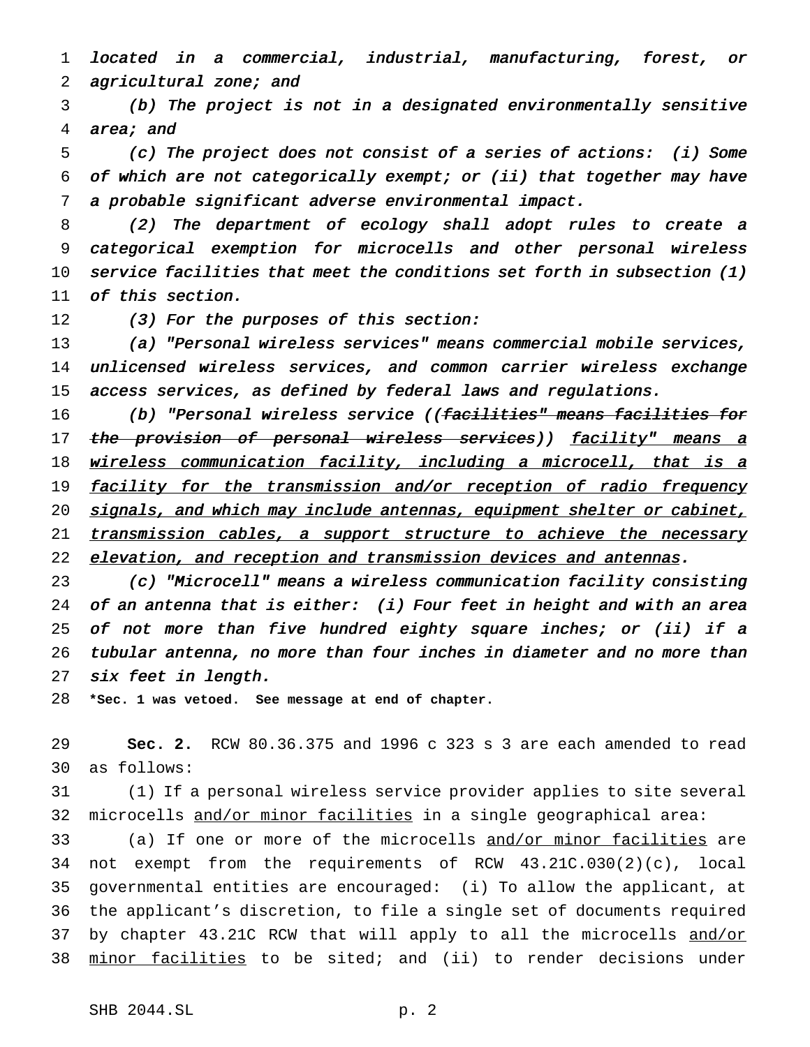located in <sup>a</sup> commercial, industrial, manufacturing, forest, or 2 agricultural zone; and

 (b) The project is not in <sup>a</sup> designated environmentally sensitive area; and

 (c) The project does not consist of <sup>a</sup> series of actions: (i) Some of which are not categorically exempt; or (ii) that together may have <sup>a</sup> probable significant adverse environmental impact.

 (2) The department of ecology shall adopt rules to create <sup>a</sup> categorical exemption for microcells and other personal wireless service facilities that meet the conditions set forth in subsection (1) of this section.

12 (3) For the purposes of this section:

 (a) "Personal wireless services" means commercial mobile services, unlicensed wireless services, and common carrier wireless exchange access services, as defined by federal laws and regulations.

16 (b) "Personal wireless service ((<del>facilities" means facilities for</del> 17 the provision of personal wireless services)) facility" means a 18 wireless communication facility, including a microcell, that is a 19 facility for the transmission and/or reception of radio frequency 20 signals, and which may include antennas, equipment shelter or cabinet, 21 transmission cables, a support structure to achieve the necessary 22 elevation, and reception and transmission devices and antennas.

 (c) "Microcell" means <sup>a</sup> wireless communication facility consisting of an antenna that is either: (i) Four feet in height and with an area 25 of not more than five hundred eighty square inches; or (ii) if a tubular antenna, no more than four inches in diameter and no more than six feet in length.

**\*Sec. 1 was vetoed. See message at end of chapter.**

 **Sec. 2.** RCW 80.36.375 and 1996 c 323 s 3 are each amended to read as follows:

 (1) If a personal wireless service provider applies to site several microcells and/or minor facilities in a single geographical area:

 (a) If one or more of the microcells and/or minor facilities are not exempt from the requirements of RCW 43.21C.030(2)(c), local governmental entities are encouraged: (i) To allow the applicant, at the applicant's discretion, to file a single set of documents required 37 by chapter 43.21C RCW that will apply to all the microcells and/or 38 minor facilities to be sited; and (ii) to render decisions under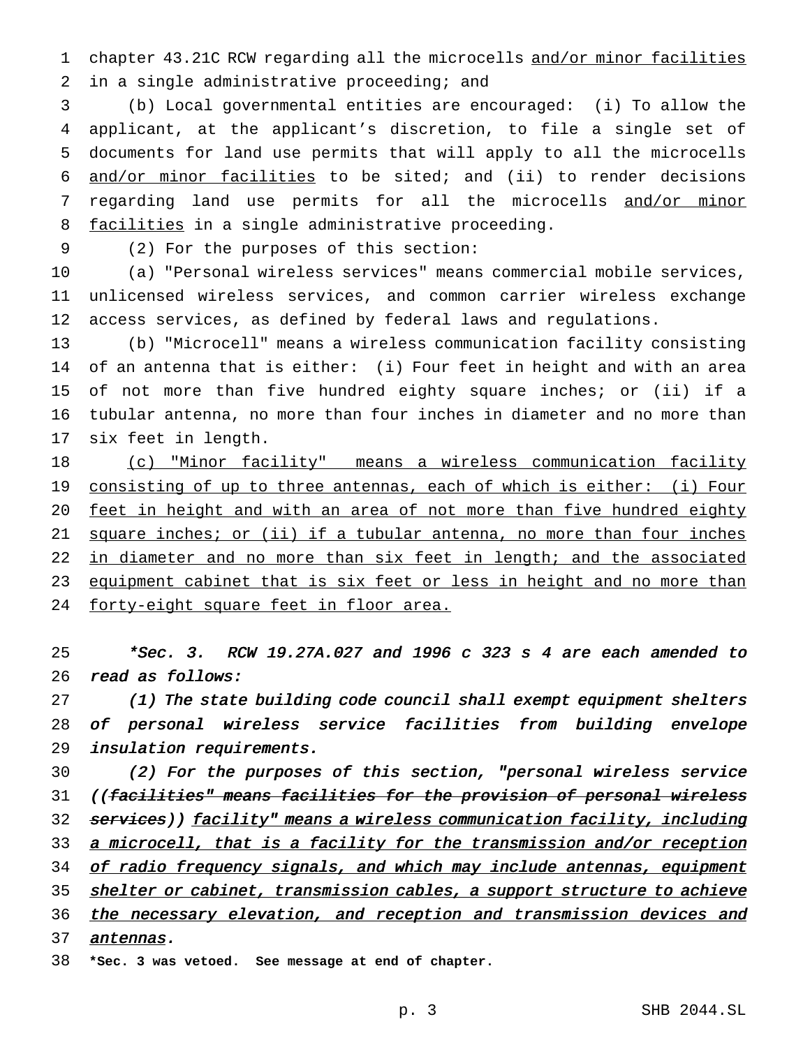1 chapter 43.21C RCW regarding all the microcells and/or minor facilities 2 in a single administrative proceeding; and

 (b) Local governmental entities are encouraged: (i) To allow the applicant, at the applicant's discretion, to file a single set of documents for land use permits that will apply to all the microcells and/or minor facilities to be sited; and (ii) to render decisions 7 regarding land use permits for all the microcells and/or minor 8 facilities in a single administrative proceeding.

9 (2) For the purposes of this section:

10 (a) "Personal wireless services" means commercial mobile services, 11 unlicensed wireless services, and common carrier wireless exchange 12 access services, as defined by federal laws and regulations.

 (b) "Microcell" means a wireless communication facility consisting of an antenna that is either: (i) Four feet in height and with an area of not more than five hundred eighty square inches; or (ii) if a tubular antenna, no more than four inches in diameter and no more than six feet in length.

18 (c) "Minor facility" means a wireless communication facility 19 consisting of up to three antennas, each of which is either: (i) Four 20 feet in height and with an area of not more than five hundred eighty 21 square inches; or (ii) if a tubular antenna, no more than four inches 22 in diameter and no more than six feet in length; and the associated 23 equipment cabinet that is six feet or less in height and no more than 24 forty-eight square feet in floor area.

25 \*Sec. 3. RCW 19.27A.027 and <sup>1996</sup> <sup>c</sup> <sup>323</sup> <sup>s</sup> <sup>4</sup> are each amended to 26 read as follows:

27 (1) The state building code council shall exempt equipment shelters 28 of personal wireless service facilities from building envelope 29 insulation requirements.

30 (2) For the purposes of this section, "personal wireless service 31 ((facilities" means facilities for the provision of personal wireless 32 services)) facility" means a wireless communication facility, including 33 a microcell, that is a facility for the transmission and/or reception 34 of radio frequency signals, and which may include antennas, equipment 35 shelter or cabinet, transmission cables, a support structure to achieve 36 the necessary elevation, and reception and transmission devices and 37 antennas.

38 **\*Sec. 3 was vetoed. See message at end of chapter.**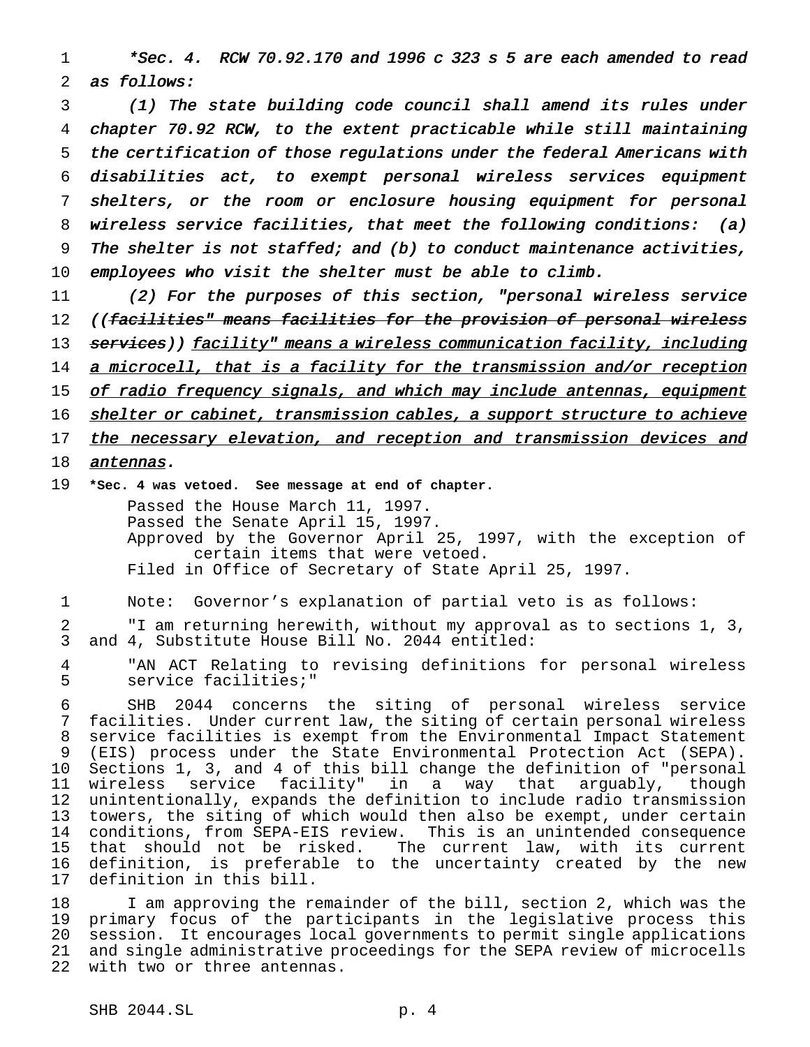\*Sec. 4. RCW 70.92.170 and <sup>1996</sup> <sup>c</sup> <sup>323</sup> <sup>s</sup> <sup>5</sup> are each amended to read as follows:

 (1) The state building code council shall amend its rules under chapter 70.92 RCW, to the extent practicable while still maintaining the certification of those regulations under the federal Americans with disabilities act, to exempt personal wireless services equipment shelters, or the room or enclosure housing equipment for personal wireless service facilities, that meet the following conditions: (a) The shelter is not staffed; and (b) to conduct maintenance activities, employees who visit the shelter must be able to climb.

 (2) For the purposes of this section, "personal wireless service 12 ((facilities" means facilities for the provision of personal wireless 13 services)) facility" means a wireless communication facility, including 14 a microcell, that is a facility for the transmission and/or reception 15 of radio frequency signals, and which may include antennas, equipment 16 shelter or cabinet, transmission cables, a support structure to achieve 17 the necessary elevation, and reception and transmission devices and **antennas.** 

**\*Sec. 4 was vetoed. See message at end of chapter.**

Passed the House March 11, 1997. Passed the Senate April 15, 1997. Approved by the Governor April 25, 1997, with the exception of certain items that were vetoed. Filed in Office of Secretary of State April 25, 1997.

Note: Governor's explanation of partial veto is as follows:

 "I am returning herewith, without my approval as to sections 1, 3, and 4, Substitute House Bill No. 2044 entitled:

 "AN ACT Relating to revising definitions for personal wireless service facilities;"

 SHB 2044 concerns the siting of personal wireless service facilities. Under current law, the siting of certain personal wireless service facilities is exempt from the Environmental Impact Statement (EIS) process under the State Environmental Protection Act (SEPA). Sections 1, 3, and 4 of this bill change the definition of "personal wireless service facility" in a way that arguably, though unintentionally, expands the definition to include radio transmission towers, the siting of which would then also be exempt, under certain conditions, from SEPA-EIS review. This is an unintended consequence that should not be risked. The current law, with its current definition, is preferable to the uncertainty created by the new definition in this bill.

 I am approving the remainder of the bill, section 2, which was the primary focus of the participants in the legislative process this session. It encourages local governments to permit single applications and single administrative proceedings for the SEPA review of microcells with two or three antennas.